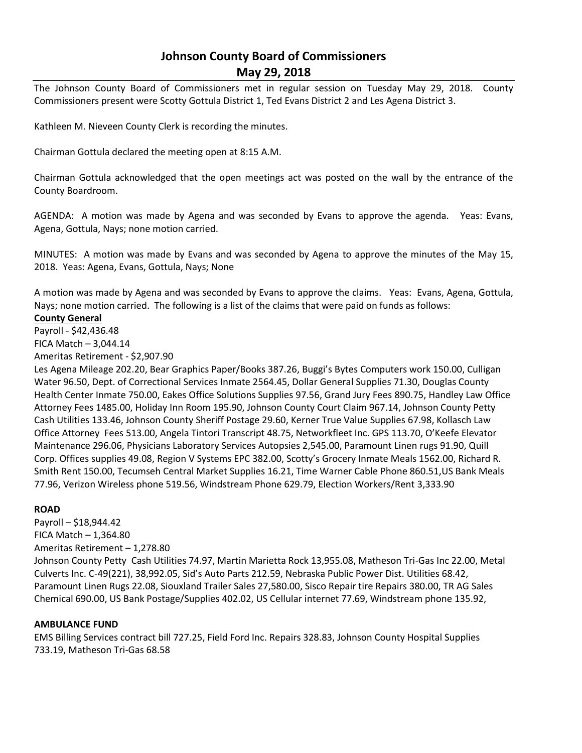## **Johnson County Board of Commissioners May 29, 2018**

The Johnson County Board of Commissioners met in regular session on Tuesday May 29, 2018. County Commissioners present were Scotty Gottula District 1, Ted Evans District 2 and Les Agena District 3.

Kathleen M. Nieveen County Clerk is recording the minutes.

Chairman Gottula declared the meeting open at 8:15 A.M.

Chairman Gottula acknowledged that the open meetings act was posted on the wall by the entrance of the County Boardroom.

AGENDA: A motion was made by Agena and was seconded by Evans to approve the agenda. Yeas: Evans, Agena, Gottula, Nays; none motion carried.

MINUTES: A motion was made by Evans and was seconded by Agena to approve the minutes of the May 15, 2018. Yeas: Agena, Evans, Gottula, Nays; None

A motion was made by Agena and was seconded by Evans to approve the claims. Yeas: Evans, Agena, Gottula, Nays; none motion carried. The following is a list of the claims that were paid on funds as follows:

## **County General**

Payroll - \$42,436.48

FICA Match – 3,044.14

Ameritas Retirement - \$2,907.90

Les Agena Mileage 202.20, Bear Graphics Paper/Books 387.26, Buggi's Bytes Computers work 150.00, Culligan Water 96.50, Dept. of Correctional Services Inmate 2564.45, Dollar General Supplies 71.30, Douglas County Health Center Inmate 750.00, Eakes Office Solutions Supplies 97.56, Grand Jury Fees 890.75, Handley Law Office Attorney Fees 1485.00, Holiday Inn Room 195.90, Johnson County Court Claim 967.14, Johnson County Petty Cash Utilities 133.46, Johnson County Sheriff Postage 29.60, Kerner True Value Supplies 67.98, Kollasch Law Office Attorney Fees 513.00, Angela Tintori Transcript 48.75, Networkfleet Inc. GPS 113.70, O'Keefe Elevator Maintenance 296.06, Physicians Laboratory Services Autopsies 2,545.00, Paramount Linen rugs 91.90, Quill Corp. Offices supplies 49.08, Region V Systems EPC 382.00, Scotty's Grocery Inmate Meals 1562.00, Richard R. Smith Rent 150.00, Tecumseh Central Market Supplies 16.21, Time Warner Cable Phone 860.51,US Bank Meals 77.96, Verizon Wireless phone 519.56, Windstream Phone 629.79, Election Workers/Rent 3,333.90

## **ROAD**

Payroll – \$18,944.42 FICA Match  $-1,364.80$ Ameritas Retirement – 1,278.80 Johnson County Petty Cash Utilities 74.97, Martin Marietta Rock 13,955.08, Matheson Tri-Gas Inc 22.00, Metal Culverts Inc. C-49(221), 38,992.05, Sid's Auto Parts 212.59, Nebraska Public Power Dist. Utilities 68.42, Paramount Linen Rugs 22.08, Siouxland Trailer Sales 27,580.00, Sisco Repair tire Repairs 380.00, TR AG Sales Chemical 690.00, US Bank Postage/Supplies 402.02, US Cellular internet 77.69, Windstream phone 135.92,

## **AMBULANCE FUND**

EMS Billing Services contract bill 727.25, Field Ford Inc. Repairs 328.83, Johnson County Hospital Supplies 733.19, Matheson Tri-Gas 68.58